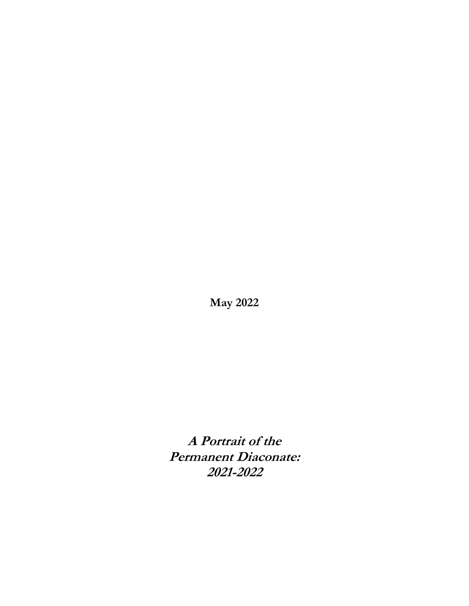**May 2022**

**A Portrait of the Permanent Diaconate: 2021-2022**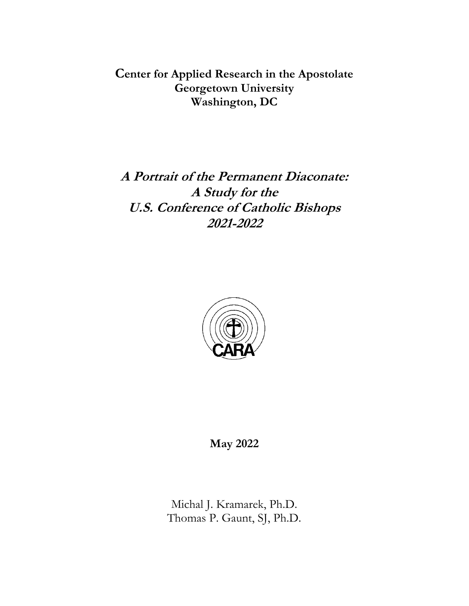**Center for Applied Research in the Apostolate Georgetown University Washington, DC**

**A Portrait of the Permanent Diaconate: A Study for the U.S. Conference of Catholic Bishops 2021-2022**



**May 2022**

Michal J. Kramarek, Ph.D. Thomas P. Gaunt, SJ, Ph.D.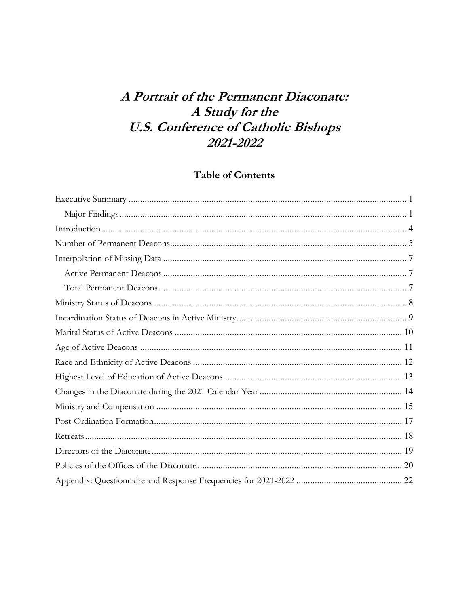# A Portrait of the Permanent Diaconate: A Study for the **U.S. Conference of Catholic Bishops** 2021-2022

# **Table of Contents**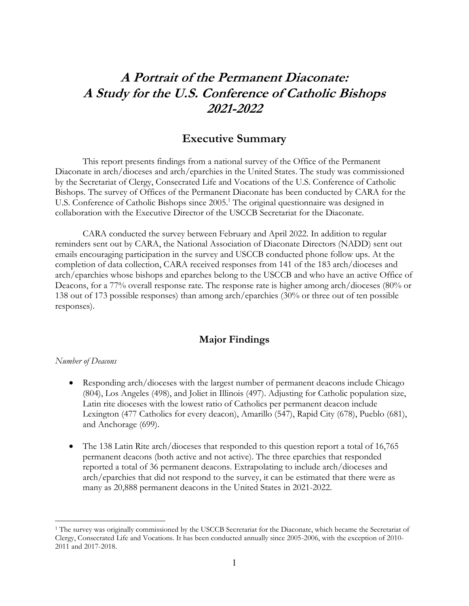# **A Portrait of the Permanent Diaconate: A Study for the U.S. Conference of Catholic Bishops 2021-2022**

## **Executive Summary**

<span id="page-3-0"></span>This report presents findings from a national survey of the Office of the Permanent Diaconate in arch/dioceses and arch/eparchies in the United States. The study was commissioned by the Secretariat of Clergy, Consecrated Life and Vocations of the U.S. Conference of Catholic Bishops. The survey of Offices of the Permanent Diaconate has been conducted by CARA for the U.S. Conference of Catholic Bishops since 2005. <sup>1</sup> The original questionnaire was designed in collaboration with the Executive Director of the USCCB Secretariat for the Diaconate.

CARA conducted the survey between February and April 2022. In addition to regular reminders sent out by CARA, the National Association of Diaconate Directors (NADD) sent out emails encouraging participation in the survey and USCCB conducted phone follow ups. At the completion of data collection, CARA received responses from 141 of the 183 arch/dioceses and arch/eparchies whose bishops and eparches belong to the USCCB and who have an active Office of Deacons, for a 77% overall response rate. The response rate is higher among arch/dioceses (80% or 138 out of 173 possible responses) than among arch/eparchies (30% or three out of ten possible responses).

#### **Major Findings**

#### <span id="page-3-1"></span>*Number of Deacons*

- Responding arch/dioceses with the largest number of permanent deacons include Chicago (804), Los Angeles (498), and Joliet in Illinois (497). Adjusting for Catholic population size, Latin rite dioceses with the lowest ratio of Catholics per permanent deacon include Lexington (477 Catholics for every deacon), Amarillo (547), Rapid City (678), Pueblo (681), and Anchorage (699).
- The 138 Latin Rite arch/dioceses that responded to this question report a total of 16,765 permanent deacons (both active and not active). The three eparchies that responded reported a total of 36 permanent deacons. Extrapolating to include arch/dioceses and arch/eparchies that did not respond to the survey, it can be estimated that there were as many as 20,888 permanent deacons in the United States in 2021-2022.

<sup>&</sup>lt;sup>1</sup> The survey was originally commissioned by the USCCB Secretariat for the Diaconate, which became the Secretariat of Clergy, Consecrated Life and Vocations. It has been conducted annually since 2005-2006, with the exception of 2010- 2011 and 2017-2018.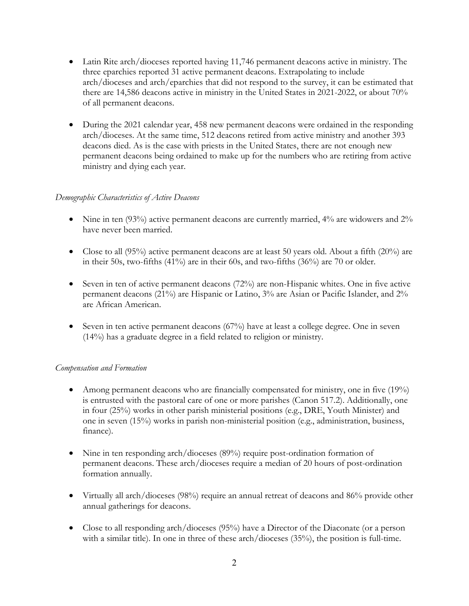- Latin Rite arch/dioceses reported having 11,746 permanent deacons active in ministry. The three eparchies reported 31 active permanent deacons. Extrapolating to include arch/dioceses and arch/eparchies that did not respond to the survey, it can be estimated that there are 14,586 deacons active in ministry in the United States in 2021-2022, or about 70% of all permanent deacons.
- During the 2021 calendar year, 458 new permanent deacons were ordained in the responding arch/dioceses. At the same time, 512 deacons retired from active ministry and another 393 deacons died. As is the case with priests in the United States, there are not enough new permanent deacons being ordained to make up for the numbers who are retiring from active ministry and dying each year.

#### *Demographic Characteristics of Active Deacons*

- Nine in ten  $(93%)$  active permanent deacons are currently married,  $4%$  are widowers and  $2%$ have never been married.
- Close to all (95%) active permanent deacons are at least 50 years old. About a fifth (20%) are in their 50s, two-fifths  $(41\%)$  are in their 60s, and two-fifths  $(36\%)$  are 70 or older.
- Seven in ten of active permanent deacons (72%) are non-Hispanic whites. One in five active permanent deacons (21%) are Hispanic or Latino, 3% are Asian or Pacific Islander, and 2% are African American.
- Seven in ten active permanent deacons (67%) have at least a college degree. One in seven (14%) has a graduate degree in a field related to religion or ministry.

#### *Compensation and Formation*

- Among permanent deacons who are financially compensated for ministry, one in five (19%) is entrusted with the pastoral care of one or more parishes (Canon 517.2). Additionally, one in four (25%) works in other parish ministerial positions (e.g., DRE, Youth Minister) and one in seven (15%) works in parish non-ministerial position (e.g., administration, business, finance).
- Nine in ten responding arch/dioceses (89%) require post-ordination formation of permanent deacons. These arch/dioceses require a median of 20 hours of post-ordination formation annually.
- Virtually all arch/dioceses (98%) require an annual retreat of deacons and 86% provide other annual gatherings for deacons.
- Close to all responding arch/dioceses (95%) have a Director of the Diaconate (or a person with a similar title). In one in three of these arch/dioceses (35%), the position is full-time.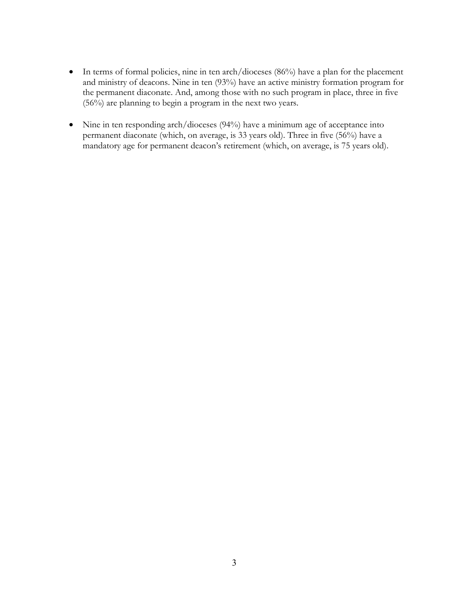- In terms of formal policies, nine in ten arch/dioceses (86%) have a plan for the placement and ministry of deacons. Nine in ten (93%) have an active ministry formation program for the permanent diaconate. And, among those with no such program in place, three in five (56%) are planning to begin a program in the next two years.
- Nine in ten responding arch/dioceses (94%) have a minimum age of acceptance into permanent diaconate (which, on average, is 33 years old). Three in five (56%) have a mandatory age for permanent deacon's retirement (which, on average, is 75 years old).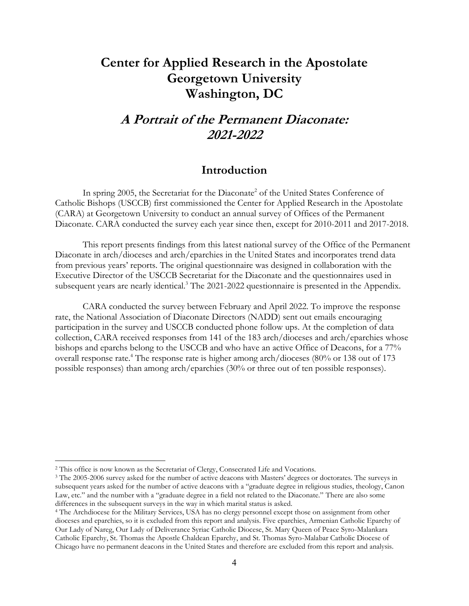# **Center for Applied Research in the Apostolate Georgetown University Washington, DC**

# **A Portrait of the Permanent Diaconate: 2021-2022**

### **Introduction**

<span id="page-6-0"></span>In spring 2005, the Secretariat for the Diaconate<sup>2</sup> of the United States Conference of Catholic Bishops (USCCB) first commissioned the Center for Applied Research in the Apostolate (CARA) at Georgetown University to conduct an annual survey of Offices of the Permanent Diaconate. CARA conducted the survey each year since then, except for 2010-2011 and 2017-2018.

This report presents findings from this latest national survey of the Office of the Permanent Diaconate in arch/dioceses and arch/eparchies in the United States and incorporates trend data from previous years' reports. The original questionnaire was designed in collaboration with the Executive Director of the USCCB Secretariat for the Diaconate and the questionnaires used in subsequent years are nearly identical.<sup>3</sup> The 2021-2022 questionnaire is presented in the Appendix.

CARA conducted the survey between February and April 2022. To improve the response rate, the National Association of Diaconate Directors (NADD) sent out emails encouraging participation in the survey and USCCB conducted phone follow ups. At the completion of data collection, CARA received responses from 141 of the 183 arch/dioceses and arch/eparchies whose bishops and eparchs belong to the USCCB and who have an active Office of Deacons, for a 77% overall response rate.<sup>4</sup> The response rate is higher among arch/dioceses (80% or 138 out of 173 possible responses) than among arch/eparchies (30% or three out of ten possible responses).

<sup>2</sup> This office is now known as the Secretariat of Clergy, Consecrated Life and Vocations.

<sup>&</sup>lt;sup>3</sup> The 2005-2006 survey asked for the number of active deacons with Masters' degrees or doctorates. The surveys in subsequent years asked for the number of active deacons with a "graduate degree in religious studies, theology, Canon Law, etc." and the number with a "graduate degree in a field not related to the Diaconate." There are also some differences in the subsequent surveys in the way in which marital status is asked.

<sup>4</sup> The Archdiocese for the Military Services, USA has no clergy personnel except those on assignment from other dioceses and eparchies, so it is excluded from this report and analysis. Five eparchies, Armenian Catholic Eparchy of Our Lady of Nareg, Our Lady of Deliverance Syriac Catholic Diocese, St. Mary Queen of Peace Syro-Malankara Catholic Eparchy, St. Thomas the Apostle Chaldean Eparchy, and St. Thomas Syro-Malabar Catholic Diocese of Chicago have no permanent deacons in the United States and therefore are excluded from this report and analysis.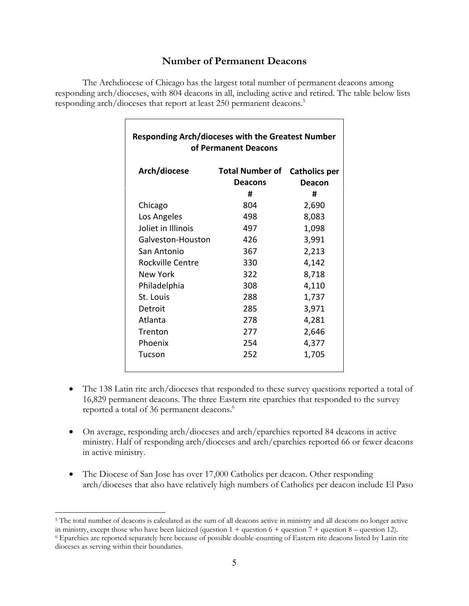### **Number of Permanent Deacons**

<span id="page-7-0"></span>The Archdiocese of Chicago has the largest total number of permanent deacons among responding arch/dioceses, with 804 deacons in all, including active and retired. The table below lists responding arch/dioceses that report at least 250 permanent deacons.<sup>5</sup>

| <b>Responding Arch/dioceses with the Greatest Number</b><br>of Permanent Deacons |                                                        |        |  |  |  |  |
|----------------------------------------------------------------------------------|--------------------------------------------------------|--------|--|--|--|--|
| Arch/diocese                                                                     | <b>Total Number of Catholics per</b><br><b>Deacons</b> | Deacon |  |  |  |  |
|                                                                                  | #                                                      | #      |  |  |  |  |
| Chicago                                                                          | 804                                                    | 2,690  |  |  |  |  |
| Los Angeles                                                                      | 498                                                    | 8,083  |  |  |  |  |
| Joliet in Illinois                                                               | 497                                                    | 1,098  |  |  |  |  |
| Galveston-Houston                                                                | 426                                                    | 3,991  |  |  |  |  |
| San Antonio                                                                      | 367                                                    | 2,213  |  |  |  |  |
| Rockville Centre                                                                 | 330                                                    | 4,142  |  |  |  |  |
| New York                                                                         | 322                                                    | 8,718  |  |  |  |  |
| Philadelphia                                                                     | 308                                                    | 4,110  |  |  |  |  |
| St. Louis                                                                        | 288                                                    | 1,737  |  |  |  |  |
| Detroit                                                                          | 285                                                    | 3,971  |  |  |  |  |
| Atlanta                                                                          | 278                                                    | 4,281  |  |  |  |  |
| Trenton                                                                          | 277                                                    | 2,646  |  |  |  |  |
| Phoenix                                                                          | 254                                                    | 4,377  |  |  |  |  |
| Tucson                                                                           | 252                                                    | 1,705  |  |  |  |  |

- The 138 Latin rite arch/dioceses that responded to these survey questions reported a total of 16,829 permanent deacons. The three Eastern rite eparchies that responded to the survey reported a total of 36 permanent deacons.<sup>6</sup>
- On average, responding arch/dioceses and arch/eparchies reported 84 deacons in active ministry. Half of responding arch/dioceses and arch/eparchies reported 66 or fewer deacons in active ministry.
- The Diocese of San Jose has over 17,000 Catholics per deacon. Other responding arch/dioceses that also have relatively high numbers of Catholics per deacon include El Paso

<sup>5</sup> The total number of deacons is calculated as the sum of all deacons active in ministry and all deacons no longer active

in ministry, except those who have been laicized (question 1 + question 6 + question 7 + question 8 – question 12). <sup>6</sup> Eparchies are reported separately here because of possible double-counting of Eastern rite deacons listed by Latin rite dioceses as serving within their boundaries.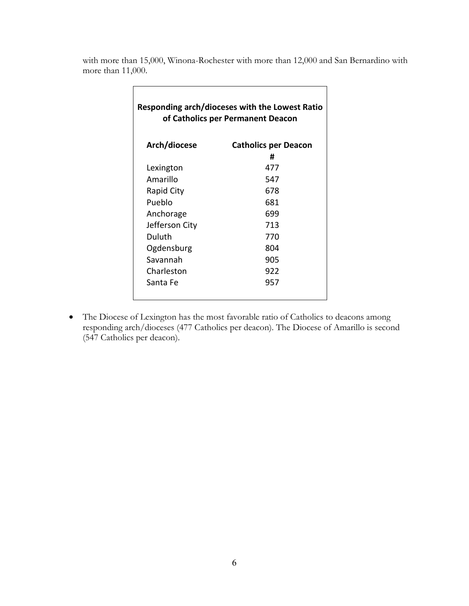with more than 15,000, Winona-Rochester with more than 12,000 and San Bernardino with more than 11,000.

| Responding arch/dioceses with the Lowest Ratio<br>of Catholics per Permanent Deacon |                             |  |  |  |  |  |  |
|-------------------------------------------------------------------------------------|-----------------------------|--|--|--|--|--|--|
| Arch/diocese                                                                        | <b>Catholics per Deacon</b> |  |  |  |  |  |  |
|                                                                                     | Ħ                           |  |  |  |  |  |  |
| Lexington                                                                           | 477                         |  |  |  |  |  |  |
| Amarillo                                                                            | 547                         |  |  |  |  |  |  |
| <b>Rapid City</b>                                                                   | 678                         |  |  |  |  |  |  |
| Pueblo                                                                              | 681                         |  |  |  |  |  |  |
| Anchorage                                                                           | 699                         |  |  |  |  |  |  |
| Jefferson City                                                                      | 713                         |  |  |  |  |  |  |
| Duluth                                                                              | 770                         |  |  |  |  |  |  |
| Ogdensburg                                                                          | 804                         |  |  |  |  |  |  |
| Savannah                                                                            | 905                         |  |  |  |  |  |  |
| Charleston                                                                          | 922                         |  |  |  |  |  |  |
| Santa Fe                                                                            | 957                         |  |  |  |  |  |  |
|                                                                                     |                             |  |  |  |  |  |  |

• The Diocese of Lexington has the most favorable ratio of Catholics to deacons among responding arch/dioceses (477 Catholics per deacon). The Diocese of Amarillo is second (547 Catholics per deacon).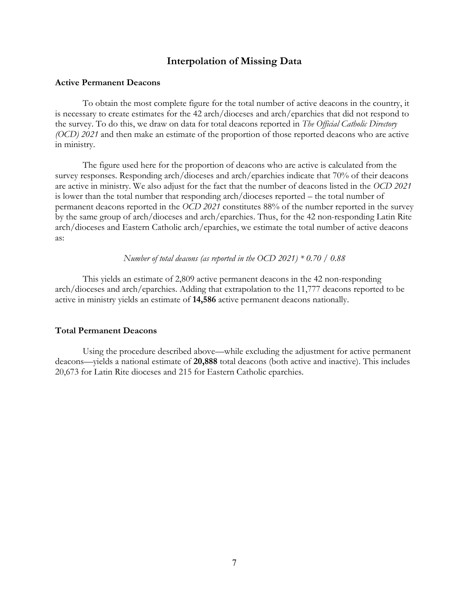#### **Interpolation of Missing Data**

#### <span id="page-9-1"></span><span id="page-9-0"></span>**Active Permanent Deacons**

To obtain the most complete figure for the total number of active deacons in the country, it is necessary to create estimates for the 42 arch/dioceses and arch/eparchies that did not respond to the survey. To do this, we draw on data for total deacons reported in *The Official Catholic Directory (OCD) 2021* and then make an estimate of the proportion of those reported deacons who are active in ministry.

The figure used here for the proportion of deacons who are active is calculated from the survey responses. Responding arch/dioceses and arch/eparchies indicate that 70% of their deacons are active in ministry. We also adjust for the fact that the number of deacons listed in the *OCD 2021* is lower than the total number that responding arch/dioceses reported – the total number of permanent deacons reported in the *OCD 2021* constitutes 88% of the number reported in the survey by the same group of arch/dioceses and arch/eparchies. Thus, for the 42 non-responding Latin Rite arch/dioceses and Eastern Catholic arch/eparchies, we estimate the total number of active deacons as:

#### *Number of total deacons (as reported in the OCD 2021) \* 0.70 / 0.88*

This yields an estimate of 2,809 active permanent deacons in the 42 non-responding arch/dioceses and arch/eparchies. Adding that extrapolation to the 11,777 deacons reported to be active in ministry yields an estimate of **14,586** active permanent deacons nationally.

#### <span id="page-9-2"></span>**Total Permanent Deacons**

Using the procedure described above—while excluding the adjustment for active permanent deacons—yields a national estimate of **20,888** total deacons (both active and inactive). This includes 20,673 for Latin Rite dioceses and 215 for Eastern Catholic eparchies.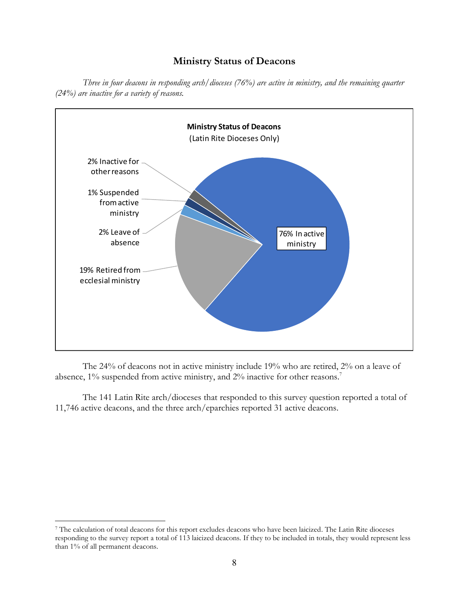### **Ministry Status of Deacons**



<span id="page-10-0"></span>*Three in four deacons in responding arch/dioceses (76%) are active in ministry, and the remaining quarter (24%) are inactive for a variety of reasons.*

The 24% of deacons not in active ministry include 19% who are retired, 2% on a leave of absence,  $1\%$  suspended from active ministry, and  $2\%$  inactive for other reasons.<sup>7</sup>

The 141 Latin Rite arch/dioceses that responded to this survey question reported a total of 11,746 active deacons, and the three arch/eparchies reported 31 active deacons.

<sup>7</sup> The calculation of total deacons for this report excludes deacons who have been laicized. The Latin Rite dioceses responding to the survey report a total of 113 laicized deacons. If they to be included in totals, they would represent less than 1% of all permanent deacons.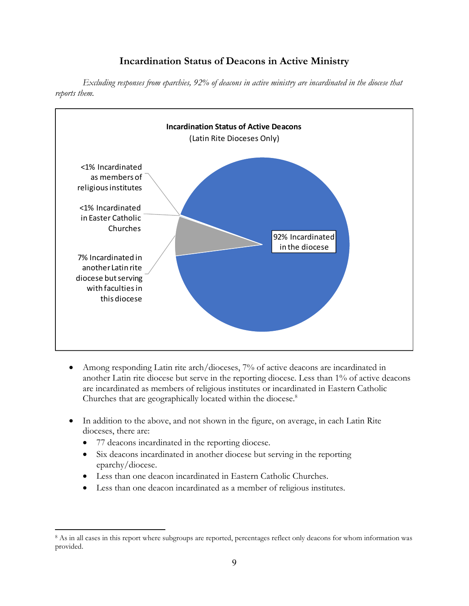# **Incardination Status of Deacons in Active Ministry**

<span id="page-11-0"></span>*Excluding responses from eparchies, 92% of deacons in active ministry are incardinated in the diocese that reports them.*



- Among responding Latin rite arch/dioceses, 7% of active deacons are incardinated in another Latin rite diocese but serve in the reporting diocese. Less than 1% of active deacons are incardinated as members of religious institutes or incardinated in Eastern Catholic Churches that are geographically located within the diocese.<sup>8</sup>
- In addition to the above, and not shown in the figure, on average, in each Latin Rite dioceses, there are:
	- 77 deacons incardinated in the reporting diocese.
	- Six deacons incardinated in another diocese but serving in the reporting eparchy/diocese.
	- Less than one deacon incardinated in Eastern Catholic Churches.
	- Less than one deacon incardinated as a member of religious institutes.

<sup>8</sup> As in all cases in this report where subgroups are reported, percentages reflect only deacons for whom information was provided.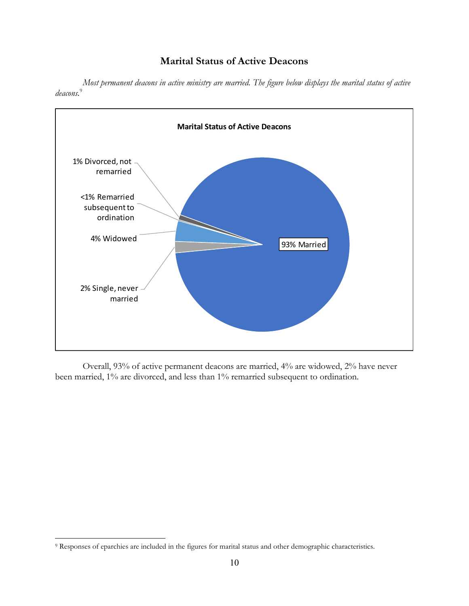# **Marital Status of Active Deacons**

<span id="page-12-0"></span>*Most permanent deacons in active ministry are married. The figure below displays the marital status of active deacons.*<sup>9</sup>



Overall, 93% of active permanent deacons are married, 4% are widowed, 2% have never been married, 1% are divorced, and less than 1% remarried subsequent to ordination.

<sup>&</sup>lt;sup>9</sup> Responses of eparchies are included in the figures for marital status and other demographic characteristics.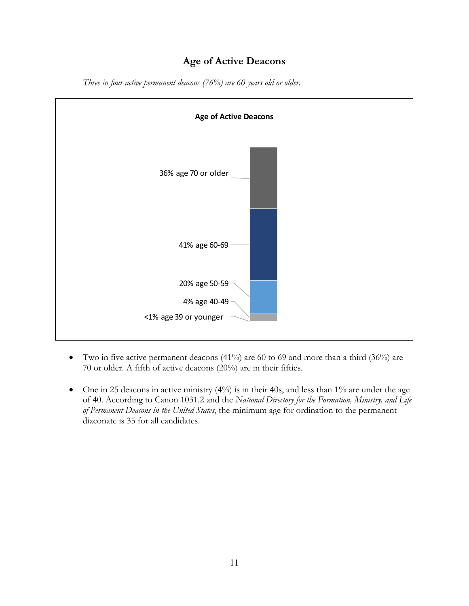# **Age of Active Deacons**

<span id="page-13-0"></span>

*Three in four active permanent deacons (76%) are 60 years old or older.*

- Two in five active permanent deacons  $(41\%)$  are 60 to 69 and more than a third  $(36\%)$  are 70 or older. A fifth of active deacons (20%) are in their fifties.
- One in 25 deacons in active ministry  $(4\%)$  is in their 40s, and less than 1% are under the age of 40. According to Canon 1031.2 and the *National Directory for the Formation, Ministry, and Life of Permanent Deacons in the United States*, the minimum age for ordination to the permanent diaconate is 35 for all candidates.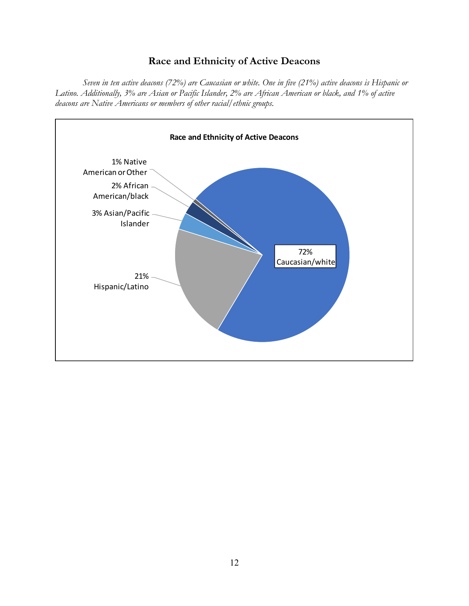## **Race and Ethnicity of Active Deacons**

<span id="page-14-0"></span>*Seven in ten active deacons (72%) are Caucasian or white. One in five (21%) active deacons is Hispanic or Latino. Additionally, 3% are Asian or Pacific Islander, 2% are African American or black, and 1% of active deacons are Native Americans or members of other racial/ethnic groups.* 

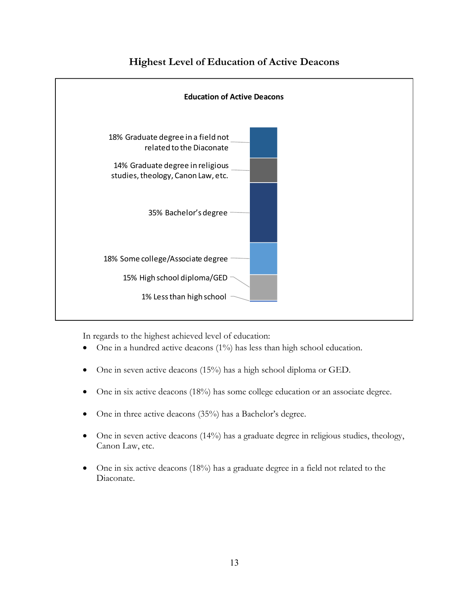<span id="page-15-0"></span>

## **Highest Level of Education of Active Deacons**

In regards to the highest achieved level of education:

- One in a hundred active deacons (1%) has less than high school education.
- One in seven active deacons (15%) has a high school diploma or GED.
- One in six active deacons (18%) has some college education or an associate degree.
- One in three active deacons (35%) has a Bachelor's degree.
- One in seven active deacons (14%) has a graduate degree in religious studies, theology, Canon Law, etc.
- One in six active deacons (18%) has a graduate degree in a field not related to the Diaconate.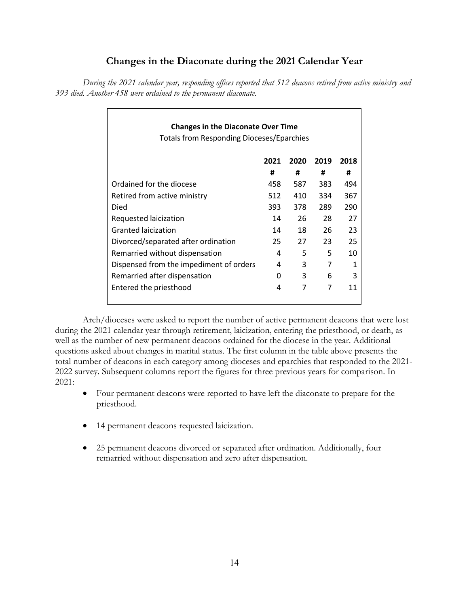# **Changes in the Diaconate during the 2021 Calendar Year**

<span id="page-16-0"></span>*During the 2021 calendar year, responding offices reported that 512 deacons retired from active ministry and 393 died. Another 458 were ordained to the permanent diaconate.*

| <b>Changes in the Diaconate Over Time</b><br><b>Totals from Responding Dioceses/Eparchies</b> |      |      |      |      |  |  |  |
|-----------------------------------------------------------------------------------------------|------|------|------|------|--|--|--|
|                                                                                               | 2021 | 2020 | 2019 | 2018 |  |  |  |
|                                                                                               | #    | #    | #    | #    |  |  |  |
| Ordained for the diocese                                                                      | 458  | 587  | 383  | 494  |  |  |  |
| Retired from active ministry                                                                  | 512  | 410  | 334  | 367  |  |  |  |
| Died                                                                                          | 393. | 378  | 289  | 290  |  |  |  |
| Requested laicization                                                                         | 14   | 26   | 28   | 27   |  |  |  |
| Granted laicization                                                                           | 14   | 18   | 26   | 23   |  |  |  |
| Divorced/separated after ordination                                                           | 25   | 27   | 23   | 25   |  |  |  |
| Remarried without dispensation                                                                | 4    | 5    | 5    | 10   |  |  |  |
| Dispensed from the impediment of orders                                                       | 4    | 3    | 7    | 1    |  |  |  |
| Remarried after dispensation                                                                  | O    | 3    | 6    | 3    |  |  |  |
| Entered the priesthood                                                                        | 4    | 7    | 7    | 11   |  |  |  |

Arch/dioceses were asked to report the number of active permanent deacons that were lost during the 2021 calendar year through retirement, laicization, entering the priesthood, or death, as well as the number of new permanent deacons ordained for the diocese in the year. Additional questions asked about changes in marital status. The first column in the table above presents the total number of deacons in each category among dioceses and eparchies that responded to the 2021- 2022 survey. Subsequent columns report the figures for three previous years for comparison. In 2021:

- Four permanent deacons were reported to have left the diaconate to prepare for the priesthood.
- 14 permanent deacons requested laicization.

 $\Gamma$ 

• 25 permanent deacons divorced or separated after ordination. Additionally, four remarried without dispensation and zero after dispensation.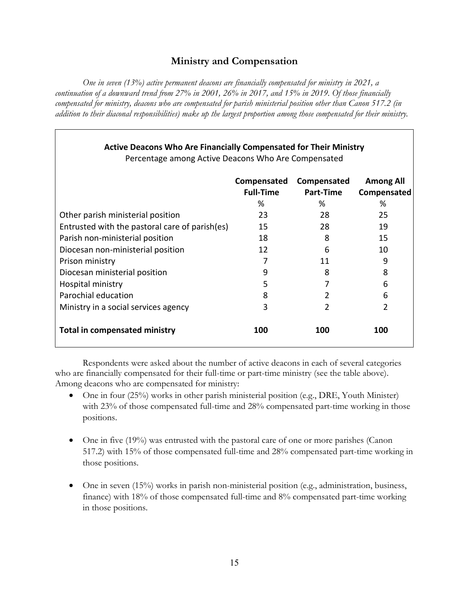# **Ministry and Compensation**

<span id="page-17-0"></span>*One in seven (13%) active permanent deacons are financially compensated for ministry in 2021, a continuation of a downward trend from 27% in 2001, 26% in 2017, and 15% in 2019. Of those financially compensated for ministry, deacons who are compensated for parish ministerial position other than Canon 517.2 (in addition to their diaconal responsibilities) make up the largest proportion among those compensated for their ministry.*

| <b>Active Deacons Who Are Financially Compensated for Their Ministry</b><br>Percentage among Active Deacons Who Are Compensated |                                 |                          |                                 |  |  |  |  |
|---------------------------------------------------------------------------------------------------------------------------------|---------------------------------|--------------------------|---------------------------------|--|--|--|--|
|                                                                                                                                 | Compensated<br><b>Full-Time</b> | Compensated<br>Part-Time | <b>Among All</b><br>Compensated |  |  |  |  |
|                                                                                                                                 | %                               | %                        | %                               |  |  |  |  |
| Other parish ministerial position                                                                                               | 23                              | 28                       | 25                              |  |  |  |  |
| Entrusted with the pastoral care of parish(es)                                                                                  | 15                              | 28                       | 19                              |  |  |  |  |
| Parish non-ministerial position                                                                                                 | 18                              | 8                        | 15                              |  |  |  |  |
| Diocesan non-ministerial position                                                                                               | 12                              | 6                        | 10                              |  |  |  |  |
| Prison ministry                                                                                                                 | 7                               | 11                       | 9                               |  |  |  |  |
| Diocesan ministerial position                                                                                                   | 9                               | 8                        | 8                               |  |  |  |  |
| Hospital ministry                                                                                                               | 5.                              |                          | 6                               |  |  |  |  |
| Parochial education                                                                                                             | 8                               | 2                        | 6                               |  |  |  |  |
| Ministry in a social services agency                                                                                            | 3                               | 2                        | 2                               |  |  |  |  |
| <b>Total in compensated ministry</b>                                                                                            | 100                             | 100                      | 100                             |  |  |  |  |

Respondents were asked about the number of active deacons in each of several categories who are financially compensated for their full-time or part-time ministry (see the table above). Among deacons who are compensated for ministry:

- One in four (25%) works in other parish ministerial position (e.g., DRE, Youth Minister) with 23% of those compensated full-time and 28% compensated part-time working in those positions.
- One in five (19%) was entrusted with the pastoral care of one or more parishes (Canon 517.2) with 15% of those compensated full-time and 28% compensated part-time working in those positions.
- One in seven (15%) works in parish non-ministerial position (e.g., administration, business, finance) with 18% of those compensated full-time and 8% compensated part-time working in those positions.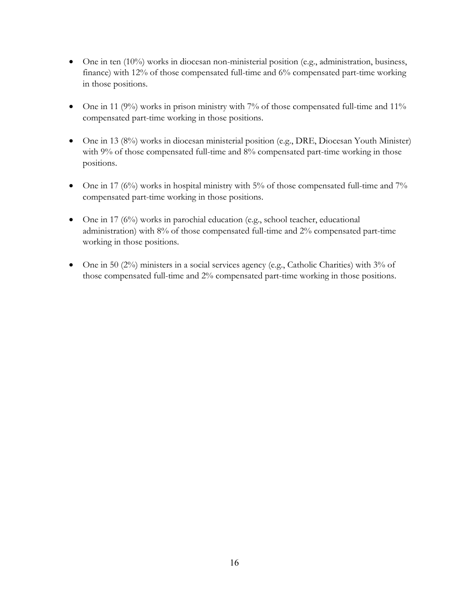- One in ten (10%) works in diocesan non-ministerial position (e.g., administration, business, finance) with 12% of those compensated full-time and 6% compensated part-time working in those positions.
- One in 11 (9%) works in prison ministry with  $7%$  of those compensated full-time and  $11%$ compensated part-time working in those positions.
- One in 13 (8%) works in diocesan ministerial position (e.g., DRE, Diocesan Youth Minister) with 9% of those compensated full-time and 8% compensated part-time working in those positions.
- One in 17 ( $6\%$ ) works in hospital ministry with 5% of those compensated full-time and 7% compensated part-time working in those positions.
- One in 17 (6%) works in parochial education (e.g., school teacher, educational administration) with 8% of those compensated full-time and 2% compensated part-time working in those positions.
- One in 50 (2%) ministers in a social services agency (e.g., Catholic Charities) with 3% of those compensated full-time and 2% compensated part-time working in those positions.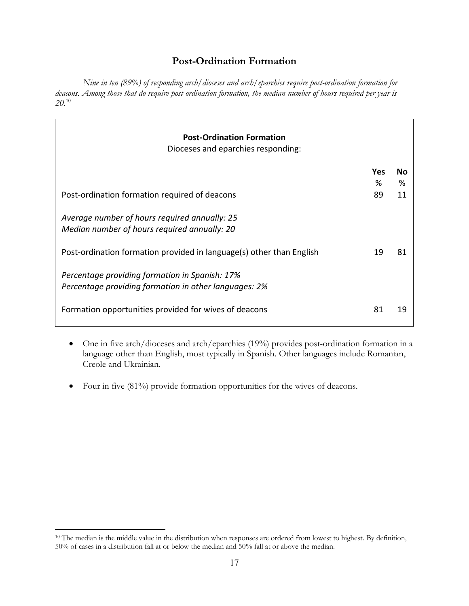## **Post-Ordination Formation**

<span id="page-19-0"></span>*Nine in ten (89%) of responding arch/dioceses and arch/eparchies require post-ordination formation for deacons. Among those that do require post-ordination formation, the median number of hours required per year is 20.* 10

| <b>Post-Ordination Formation</b><br>Dioceses and eparchies responding:                                  |     |    |
|---------------------------------------------------------------------------------------------------------|-----|----|
|                                                                                                         | Yes | Nο |
|                                                                                                         | %   | %  |
| Post-ordination formation required of deacons                                                           | 89  | 11 |
| Average number of hours required annually: 25<br>Median number of hours required annually: 20           |     |    |
| Post-ordination formation provided in language(s) other than English                                    | 19  | 81 |
| Percentage providing formation in Spanish: 17%<br>Percentage providing formation in other languages: 2% |     |    |
| Formation opportunities provided for wives of deacons                                                   | 81  |    |

- One in five arch/dioceses and arch/eparchies (19%) provides post-ordination formation in a language other than English, most typically in Spanish. Other languages include Romanian, Creole and Ukrainian.
- Four in five (81%) provide formation opportunities for the wives of deacons.

<sup>&</sup>lt;sup>10</sup> The median is the middle value in the distribution when responses are ordered from lowest to highest. By definition, 50% of cases in a distribution fall at or below the median and 50% fall at or above the median.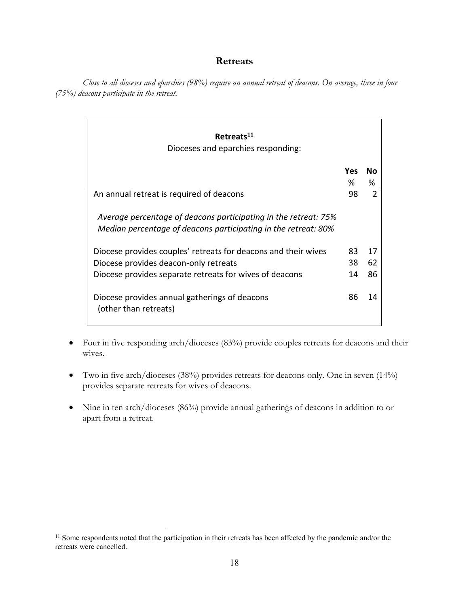#### **Retreats**

<span id="page-20-0"></span>*Close to all dioceses and eparchies (98%) require an annual retreat of deacons. On average, three in four (75%) deacons participate in the retreat.*

| Retreats <sup>11</sup><br>Dioceses and eparchies responding:                                                                      |     |    |
|-----------------------------------------------------------------------------------------------------------------------------------|-----|----|
|                                                                                                                                   | Yes | N٥ |
|                                                                                                                                   | ℅   | ℅  |
| An annual retreat is required of deacons                                                                                          | 98  |    |
| Average percentage of deacons participating in the retreat: 75%<br>Median percentage of deacons participating in the retreat: 80% |     |    |
| Diocese provides couples' retreats for deacons and their wives                                                                    | 83  |    |
| Diocese provides deacon-only retreats                                                                                             | 38  | 62 |
| Diocese provides separate retreats for wives of deacons                                                                           | 14  | 86 |
| Diocese provides annual gatherings of deacons<br>(other than retreats)                                                            | 86  | 14 |

- Four in five responding arch/dioceses (83%) provide couples retreats for deacons and their wives.
- Two in five arch/dioceses (38%) provides retreats for deacons only. One in seven (14%) provides separate retreats for wives of deacons.
- Nine in ten arch/dioceses (86%) provide annual gatherings of deacons in addition to or apart from a retreat.

<sup>&</sup>lt;sup>11</sup> Some respondents noted that the participation in their retreats has been affected by the pandemic and/or the retreats were cancelled.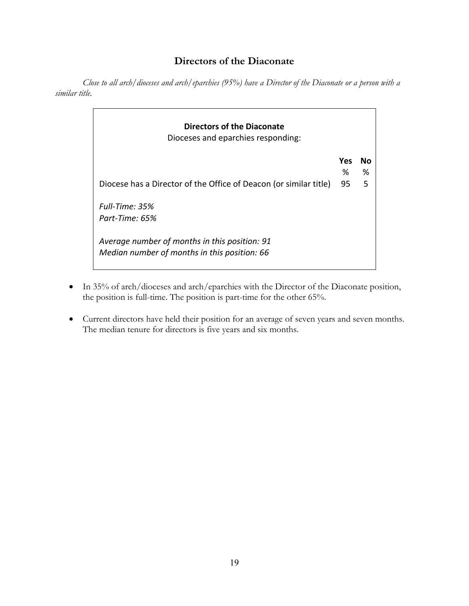## **Directors of the Diaconate**

<span id="page-21-0"></span>*Close to all arch/dioceses and arch/eparchies (95%) have a Director of the Diaconate or a person with a similar title.*

| Directors of the Diaconate<br>Dioceses and eparchies responding:                              |     |    |
|-----------------------------------------------------------------------------------------------|-----|----|
|                                                                                               | Yes | Nο |
|                                                                                               | %   | %  |
| Diocese has a Director of the Office of Deacon (or similar title)                             | 95  | 5  |
| Full-Time: 35%                                                                                |     |    |
| Part-Time: 65%                                                                                |     |    |
| Average number of months in this position: 91<br>Median number of months in this position: 66 |     |    |

- In 35% of arch/dioceses and arch/eparchies with the Director of the Diaconate position, the position is full-time. The position is part-time for the other 65%.
- Current directors have held their position for an average of seven years and seven months. The median tenure for directors is five years and six months.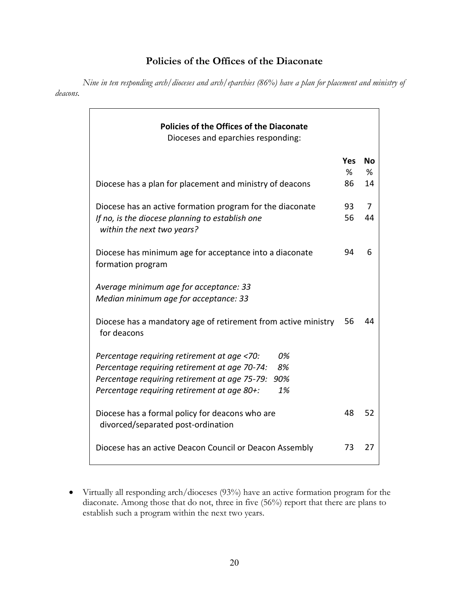# **Policies of the Offices of the Diaconate**

<span id="page-22-0"></span>*Nine in ten responding arch/dioceses and arch/eparchies (86%) have a plan for placement and ministry of deacons.*

| <b>Policies of the Offices of the Diaconate</b><br>Dioceses and eparchies responding: |     |    |
|---------------------------------------------------------------------------------------|-----|----|
|                                                                                       | Yes | Νo |
|                                                                                       | %   | %  |
| Diocese has a plan for placement and ministry of deacons                              | 86  | 14 |
| Diocese has an active formation program for the diaconate                             | 93  | 7  |
| If no, is the diocese planning to establish one<br>within the next two years?         | 56  | 44 |
| Diocese has minimum age for acceptance into a diaconate<br>formation program          | 94  | 6  |
| Average minimum age for acceptance: 33<br>Median minimum age for acceptance: 33       |     |    |
| Diocese has a mandatory age of retirement from active ministry<br>for deacons         | 56  | 44 |
| 0%<br>Percentage requiring retirement at age <70:                                     |     |    |
| Percentage requiring retirement at age 70-74:<br>8%                                   |     |    |
| 90%<br>Percentage requiring retirement at age 75-79:                                  |     |    |
| 1%<br>Percentage requiring retirement at age 80+:                                     |     |    |
| Diocese has a formal policy for deacons who are<br>divorced/separated post-ordination | 48  | 52 |
| Diocese has an active Deacon Council or Deacon Assembly                               | 73  | 27 |

• Virtually all responding arch/dioceses (93%) have an active formation program for the diaconate. Among those that do not, three in five (56%) report that there are plans to establish such a program within the next two years.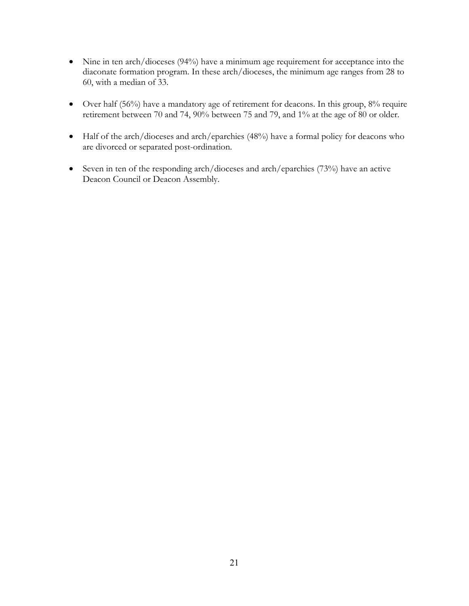- Nine in ten arch/dioceses (94%) have a minimum age requirement for acceptance into the diaconate formation program. In these arch/dioceses, the minimum age ranges from 28 to 60, with a median of 33.
- Over half (56%) have a mandatory age of retirement for deacons. In this group, 8% require retirement between 70 and 74, 90% between 75 and 79, and 1% at the age of 80 or older.
- Half of the arch/dioceses and arch/eparchies (48%) have a formal policy for deacons who are divorced or separated post-ordination.
- Seven in ten of the responding arch/dioceses and arch/eparchies (73%) have an active Deacon Council or Deacon Assembly.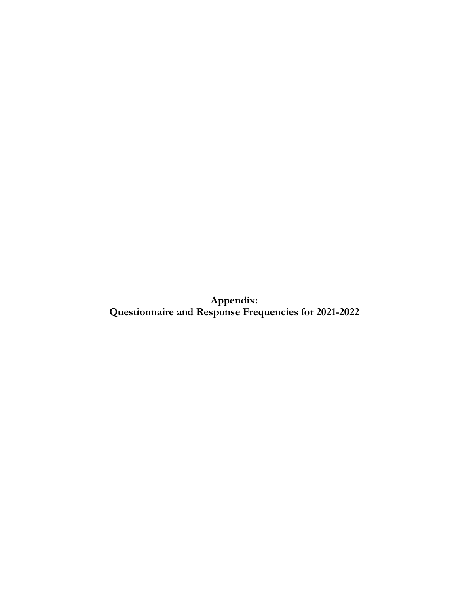<span id="page-24-0"></span>**Appendix: Questionnaire and Response Frequencies for 2021-2022**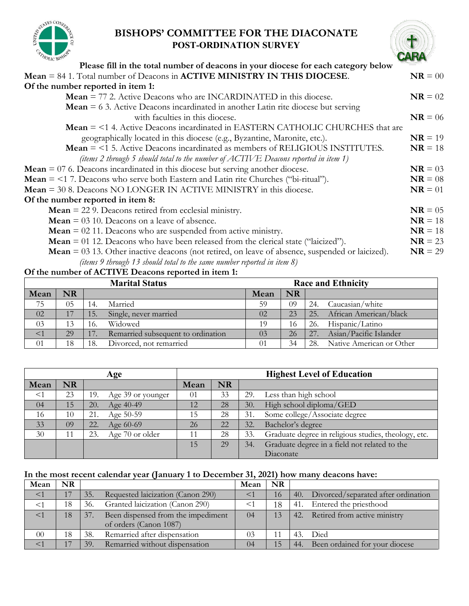

# **BISHOPS' COMMITTEE FOR THE DIACONATE POST-ORDINATION SURVEY**



#### **Please fill in the total number of deacons in your diocese for each category below Mean** = 84 1. Total number of Deacons in **ACTIVE MINISTRY IN THIS DIOCESE**. **NR** = 00 **Of the number reported in item 1: Mean** = 77 2. Active Deacons who are INCARDINATED in this diocese.  $N\mathbf{R} = 02$ **Mean** = 6 3. Active Deacons incardinated in another Latin rite diocese but serving with faculties in this diocese. **NR** =  $06$ **Mean** = <1 4. Active Deacons incardinated in EASTERN CATHOLIC CHURCHES that are geographically located in this diocese (e.g., Byzantine, Maronite, etc.). **NR** = 19 **Mean** = <1 5. Active Deacons incardinated as members of RELIGIOUS INSTITUTES. **NR** = 18 *(items 2 through 5 should total to the number of ACTIVE Deacons reported in item 1)* **Mean** =  $076$ . Deacons incardinated in this diocese but serving another diocese. **NR** =  $03$ **Mean**  $=$  <1 7. Deacons who serve both Eastern and Latin rite Churches ("bi-ritual"). **NR**  $=$  08 **Mean** = 30 8. Deacons NO LONGER IN ACTIVE MINISTRY in this diocese.  $NR = 01$ **Of the number reported in item 8: Mean** = 22 9. Deacons retired from ecclesial ministry. **NR** =  $05$ **Mean**  $= 03 10$ . Deacons on a leave of absence. **NR**  $= 18$ **Mean** =  $02\ 11$ . Deacons who are suspended from active ministry. **NR** =  $18$ **Mean**  $= 01 12$ . Deacons who have been released from the clerical state ("laicized"). **NR**  $= 23$ **Mean** = 03 13. Other inactive deacons (not retired, on leave of absence, suspended or laicized). **NR** = 29 *(items 9 through 13 should total to the same number reported in item 8)*

#### **Of the number of ACTIVE Deacons reported in item 1:**

|       |    | <b>Marital Status</b> | <b>Race and Ethnicity</b>          |         |           |                                 |
|-------|----|-----------------------|------------------------------------|---------|-----------|---------------------------------|
| Mean  | NR |                       |                                    | Mean    | <b>NR</b> |                                 |
| 75    | 05 | 14.                   | Married                            | 59      | 09        | Caucasian/white<br>24.          |
| 02    | 17 | 15.                   | Single, never married              | 02      | 23        | 25. African American/black      |
| 03    | 13 | 16.                   | Widowed                            | 19      | 16        | Hispanic/Latino<br>26.          |
| $<$ 1 | 29 | 17.                   | Remarried subsequent to ordination | 03      | 26        | Asian/Pacific Islander<br>27.   |
| 01    | 18 | 18.                   | Divorced, not remarried            | $^{01}$ | 34        | Native American or Other<br>28. |

|          | Age       |     |                   |      |           |     | <b>Highest Level of Education</b>                    |
|----------|-----------|-----|-------------------|------|-----------|-----|------------------------------------------------------|
| Mean     | <b>NR</b> |     |                   | Mean | <b>NR</b> |     |                                                      |
| $\leq$ 1 | 23        | 19. | Age 39 or younger | 01   | 33        | 29. | Less than high school                                |
| 04       | 15        | 20. | Age 40-49         | 12   | 28        | 30. | High school diploma/GED                              |
| 16       | 10        | 21. | Age 50-59         | 15   | 28        | 31. | Some college/Associate degree                        |
| 33       | 09        | 22. | Age 60-69         | 26   | 22        | 32. | Bachelor's degree                                    |
| 30       |           | 23. | Age 70 or older   |      | 28        | 33. | Graduate degree in religious studies, theology, etc. |
|          |           |     |                   | 1.5  | 29        | 34. | Graduate degree in a field not related to the        |
|          |           |     |                   |      |           |     | Diaconate                                            |

#### **In the most recent calendar year (January 1 to December 31, 2021) how many deacons have:**

| Mean     | NR. |                                           | Mean           | <b>NR</b> |                                         |
|----------|-----|-------------------------------------------|----------------|-----------|-----------------------------------------|
| $\leq$ 1 |     | Requested laicization (Canon 290)<br>35.  |                | 16        | 40. Divorced/separated after ordination |
| <1       | 18  | Granted laicization (Canon 290)<br>36.    |                | 18        | 41. Entered the priesthood              |
| $<$ 1    | 18  | Been dispensed from the impediment<br>37. | $^{04}$        | 13        | 42. Retired from active ministry        |
|          |     | of orders (Canon 1087)                    |                |           |                                         |
| $00\,$   | 18  | Remarried after dispensation<br>38.       | 0 <sub>3</sub> | 11        | 43. Died                                |
| $\leq$ 1 |     | Remarried without dispensation<br>39      | 04             | 15        | Been ordained for your diocese<br>44.   |